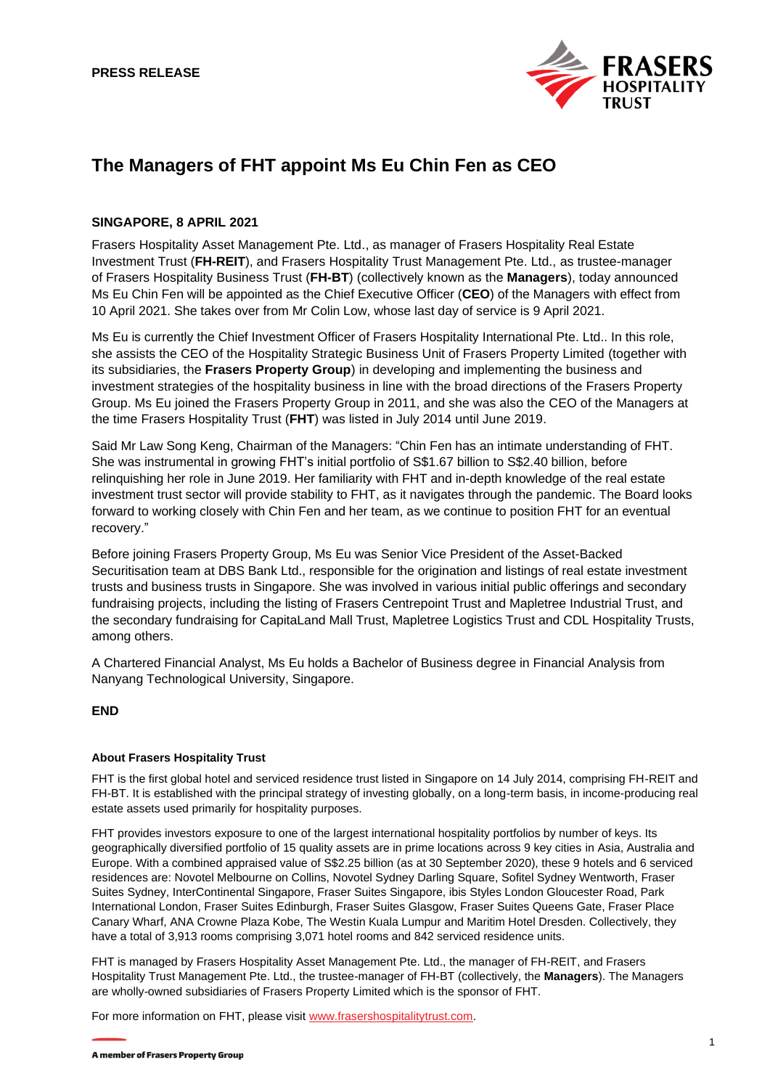

# **The Managers of FHT appoint Ms Eu Chin Fen as CEO**

## **SINGAPORE, 8 APRIL 2021**

Frasers Hospitality Asset Management Pte. Ltd., as manager of Frasers Hospitality Real Estate Investment Trust (**FH-REIT**), and Frasers Hospitality Trust Management Pte. Ltd., as trustee-manager of Frasers Hospitality Business Trust (**FH-BT**) (collectively known as the **Managers**), today announced Ms Eu Chin Fen will be appointed as the Chief Executive Officer (**CEO**) of the Managers with effect from 10 April 2021. She takes over from Mr Colin Low, whose last day of service is 9 April 2021.

Ms Eu is currently the Chief Investment Officer of Frasers Hospitality International Pte. Ltd.. In this role, she assists the CEO of the Hospitality Strategic Business Unit of Frasers Property Limited (together with its subsidiaries, the **Frasers Property Group**) in developing and implementing the business and investment strategies of the hospitality business in line with the broad directions of the Frasers Property Group. Ms Eu joined the Frasers Property Group in 2011, and she was also the CEO of the Managers at the time Frasers Hospitality Trust (**FHT**) was listed in July 2014 until June 2019.

Said Mr Law Song Keng, Chairman of the Managers: "Chin Fen has an intimate understanding of FHT. She was instrumental in growing FHT's initial portfolio of S\$1.67 billion to S\$2.40 billion, before relinquishing her role in June 2019. Her familiarity with FHT and in-depth knowledge of the real estate investment trust sector will provide stability to FHT, as it navigates through the pandemic. The Board looks forward to working closely with Chin Fen and her team, as we continue to position FHT for an eventual recovery."

Before joining Frasers Property Group, Ms Eu was Senior Vice President of the Asset-Backed Securitisation team at DBS Bank Ltd., responsible for the origination and listings of real estate investment trusts and business trusts in Singapore. She was involved in various initial public offerings and secondary fundraising projects, including the listing of Frasers Centrepoint Trust and Mapletree Industrial Trust, and the secondary fundraising for CapitaLand Mall Trust, Mapletree Logistics Trust and CDL Hospitality Trusts, among others.

A Chartered Financial Analyst, Ms Eu holds a Bachelor of Business degree in Financial Analysis from Nanyang Technological University, Singapore.

## **END**

### **About Frasers Hospitality Trust**

FHT is the first global hotel and serviced residence trust listed in Singapore on 14 July 2014, comprising FH-REIT and FH-BT. It is established with the principal strategy of investing globally, on a long-term basis, in income-producing real estate assets used primarily for hospitality purposes.

FHT provides investors exposure to one of the largest international hospitality portfolios by number of keys. Its geographically diversified portfolio of 15 quality assets are in prime locations across 9 key cities in Asia, Australia and Europe. With a combined appraised value of S\$2.25 billion (as at 30 September 2020), these 9 hotels and 6 serviced residences are: Novotel Melbourne on Collins, Novotel Sydney Darling Square, Sofitel Sydney Wentworth, Fraser Suites Sydney, InterContinental Singapore, Fraser Suites Singapore, ibis Styles London Gloucester Road, Park International London, Fraser Suites Edinburgh, Fraser Suites Glasgow, Fraser Suites Queens Gate, Fraser Place Canary Wharf, ANA Crowne Plaza Kobe, The Westin Kuala Lumpur and Maritim Hotel Dresden. Collectively, they have a total of 3,913 rooms comprising 3,071 hotel rooms and 842 serviced residence units.

FHT is managed by Frasers Hospitality Asset Management Pte. Ltd., the manager of FH-REIT, and Frasers Hospitality Trust Management Pte. Ltd., the trustee-manager of FH-BT (collectively, the **Managers**). The Managers are wholly-owned subsidiaries of Frasers Property Limited which is the sponsor of FHT.

For more information on FHT, please visit [www.frasershospitalitytrust.com.](http://www.frasershospitalitytrust.com/)